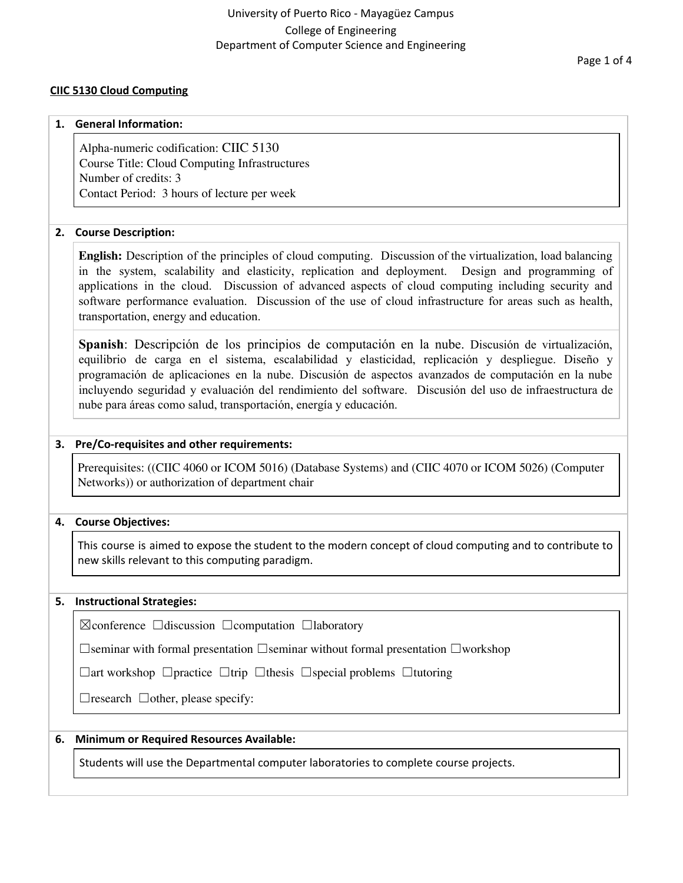#### Page 1 of 4

## **CIIC 5130 Cloud Computing**

#### **1. General Information:**

Alpha-numeric codification: CIIC 5130 Course Title: Cloud Computing Infrastructures Number of credits: 3 Contact Period: 3 hours of lecture per week

## **2. Course Description:**

**English:** Description of the principles of cloud computing. Discussion of the virtualization, load balancing in the system, scalability and elasticity, replication and deployment. Design and programming of applications in the cloud. Discussion of advanced aspects of cloud computing including security and software performance evaluation. Discussion of the use of cloud infrastructure for areas such as health, transportation, energy and education.

**Spanish**: Descripción de los principios de computación en la nube. Discusión de virtualización, equilibrio de carga en el sistema, escalabilidad y elasticidad, replicación y despliegue. Diseño y programación de aplicaciones en la nube. Discusión de aspectos avanzados de computación en la nube incluyendo seguridad y evaluación del rendimiento del software. Discusión del uso de infraestructura de nube para áreas como salud, transportación, energía y educación.

#### **3. Pre/Co-requisites and other requirements:**

Prerequisites: ((CIIC 4060 or ICOM 5016) (Database Systems) and (CIIC 4070 or ICOM 5026) (Computer Networks)) or authorization of department chair

## **4. Course Objectives:**

This course is aimed to expose the student to the modern concept of cloud computing and to contribute to new skills relevant to this computing paradigm.

### **5. Instructional Strategies:**

☒conference ☐discussion ☐computation ☐laboratory

☐seminar with formal presentation ☐seminar without formal presentation ☐workshop

☐art workshop ☐practice ☐trip ☐thesis ☐special problems ☐tutoring

 $\Box$ research  $\Box$ other, please specify:

### **6. Minimum or Required Resources Available:**

Students will use the Departmental computer laboratories to complete course projects.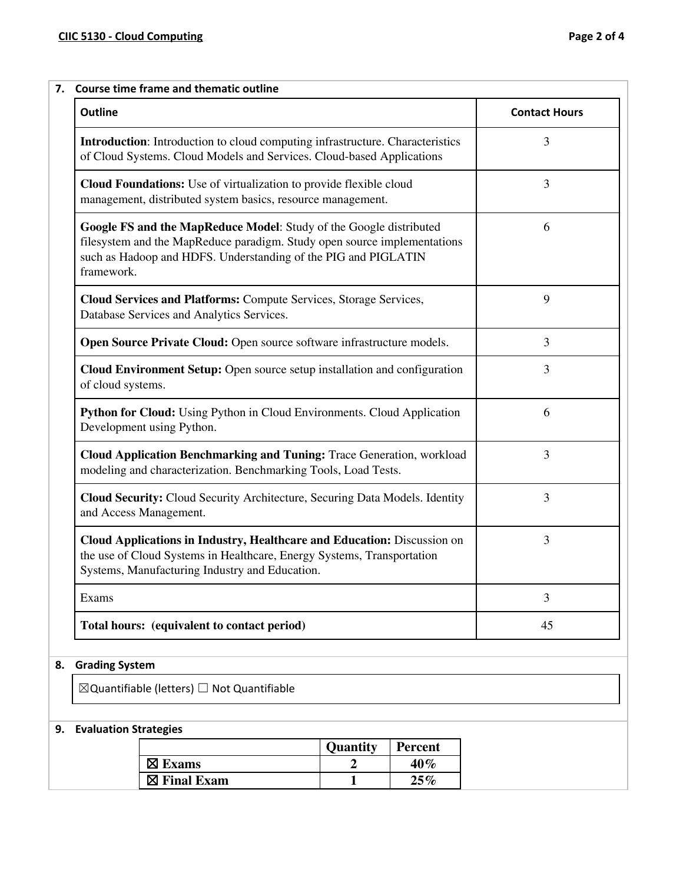| <b>Outline</b>                                                                                                                                                                                                                 | <b>Contact Hours</b> |
|--------------------------------------------------------------------------------------------------------------------------------------------------------------------------------------------------------------------------------|----------------------|
| Introduction: Introduction to cloud computing infrastructure. Characteristics<br>of Cloud Systems. Cloud Models and Services. Cloud-based Applications                                                                         | 3                    |
| Cloud Foundations: Use of virtualization to provide flexible cloud<br>management, distributed system basics, resource management.                                                                                              | 3                    |
| Google FS and the MapReduce Model: Study of the Google distributed<br>filesystem and the MapReduce paradigm. Study open source implementations<br>such as Hadoop and HDFS. Understanding of the PIG and PIGLATIN<br>framework. | 6                    |
| Cloud Services and Platforms: Compute Services, Storage Services,<br>Database Services and Analytics Services.                                                                                                                 | 9                    |
| Open Source Private Cloud: Open source software infrastructure models.                                                                                                                                                         | 3                    |
| <b>Cloud Environment Setup:</b> Open source setup installation and configuration<br>of cloud systems.                                                                                                                          | 3                    |
| Python for Cloud: Using Python in Cloud Environments. Cloud Application<br>Development using Python.                                                                                                                           | 6                    |
| Cloud Application Benchmarking and Tuning: Trace Generation, workload<br>modeling and characterization. Benchmarking Tools, Load Tests.                                                                                        | 3                    |
| Cloud Security: Cloud Security Architecture, Securing Data Models. Identity<br>and Access Management.                                                                                                                          | 3                    |
| Cloud Applications in Industry, Healthcare and Education: Discussion on<br>the use of Cloud Systems in Healthcare, Energy Systems, Transportation<br>Systems, Manufacturing Industry and Education.                            | 3                    |
| Exams                                                                                                                                                                                                                          | 3                    |
| Total hours: (equivalent to contact period)                                                                                                                                                                                    | 45                   |
| <b>Grading System</b>                                                                                                                                                                                                          |                      |
| $\boxtimes$ Quantifiable (letters) $\Box$ Not Quantifiable                                                                                                                                                                     |                      |

# **9. Evaluation Strategies**

|                        | <b>Quantity</b> | Percent |
|------------------------|-----------------|---------|
| $\boxtimes$ Exams      |                 | 40%     |
| $\boxtimes$ Final Exam |                 | 25%     |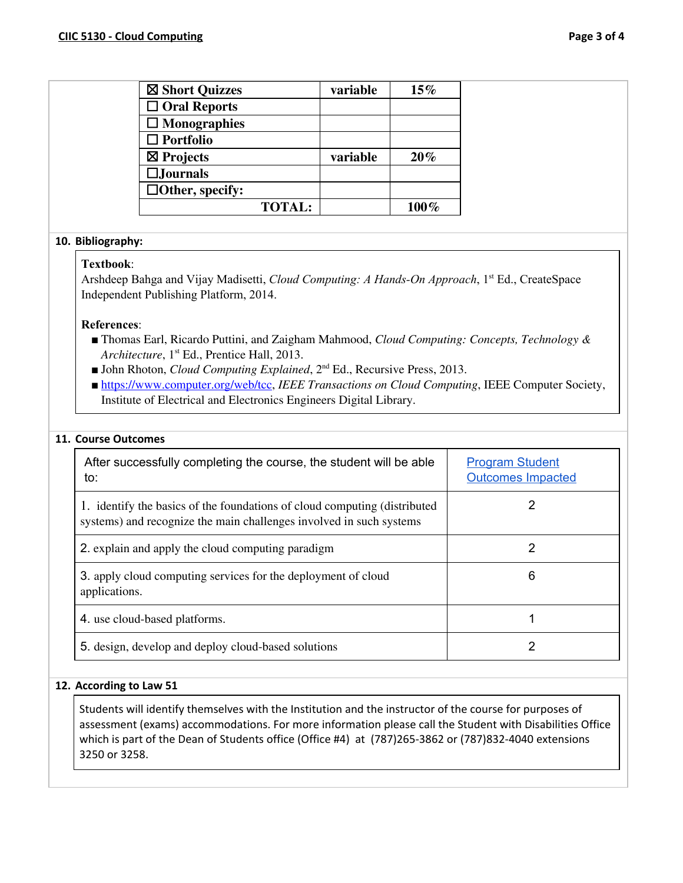| $\Box$ Oral Reports<br>$\Box$ Monographies<br>$\Box$ Portfolio<br>$\boxtimes$ Projects<br>variable<br>20%<br>$\square$ Journals<br>$\Box$ Other, specify:<br><b>TOTAL:</b><br>100%<br>10. Bibliography:<br>Textbook:<br>Arshdeep Bahga and Vijay Madisetti, Cloud Computing: A Hands-On Approach, 1st Ed., CreateSpace<br>Independent Publishing Platform, 2014.<br>References:<br><b>Thomas Earl, Ricardo Puttini, and Zaigham Mahmood, Cloud Computing: Concepts, Technology &amp;</b><br>Architecture, 1 <sup>st</sup> Ed., Prentice Hall, 2013.<br><b>John Rhoton, Cloud Computing Explained, <math>2^{nd}</math> Ed., Recursive Press, 2013.</b><br><b>https://www.computer.org/web/tcc, IEEE Transactions on Cloud Computing, IEEE Computer Society,</b><br>Institute of Electrical and Electronics Engineers Digital Library.<br>11. Course Outcomes<br>After successfully completing the course, the student will be able<br><b>Program Student</b><br><b>Outcomes Impacted</b><br>to:<br>$\overline{2}$<br>1. identify the basics of the foundations of cloud computing (distributed<br>systems) and recognize the main challenges involved in such systems<br>$\overline{2}$<br>2. explain and apply the cloud computing paradigm<br>3. apply cloud computing services for the deployment of cloud<br>6<br>applications.<br>4. use cloud-based platforms.<br>1<br>$\overline{2}$<br>5. design, develop and deploy cloud-based solutions | ⊠ Short Quizzes | variable | $15\%$ |  |
|---------------------------------------------------------------------------------------------------------------------------------------------------------------------------------------------------------------------------------------------------------------------------------------------------------------------------------------------------------------------------------------------------------------------------------------------------------------------------------------------------------------------------------------------------------------------------------------------------------------------------------------------------------------------------------------------------------------------------------------------------------------------------------------------------------------------------------------------------------------------------------------------------------------------------------------------------------------------------------------------------------------------------------------------------------------------------------------------------------------------------------------------------------------------------------------------------------------------------------------------------------------------------------------------------------------------------------------------------------------------------------------------------------------------------------------------------|-----------------|----------|--------|--|
|                                                                                                                                                                                                                                                                                                                                                                                                                                                                                                                                                                                                                                                                                                                                                                                                                                                                                                                                                                                                                                                                                                                                                                                                                                                                                                                                                                                                                                                   |                 |          |        |  |
|                                                                                                                                                                                                                                                                                                                                                                                                                                                                                                                                                                                                                                                                                                                                                                                                                                                                                                                                                                                                                                                                                                                                                                                                                                                                                                                                                                                                                                                   |                 |          |        |  |
|                                                                                                                                                                                                                                                                                                                                                                                                                                                                                                                                                                                                                                                                                                                                                                                                                                                                                                                                                                                                                                                                                                                                                                                                                                                                                                                                                                                                                                                   |                 |          |        |  |
|                                                                                                                                                                                                                                                                                                                                                                                                                                                                                                                                                                                                                                                                                                                                                                                                                                                                                                                                                                                                                                                                                                                                                                                                                                                                                                                                                                                                                                                   |                 |          |        |  |
|                                                                                                                                                                                                                                                                                                                                                                                                                                                                                                                                                                                                                                                                                                                                                                                                                                                                                                                                                                                                                                                                                                                                                                                                                                                                                                                                                                                                                                                   |                 |          |        |  |
|                                                                                                                                                                                                                                                                                                                                                                                                                                                                                                                                                                                                                                                                                                                                                                                                                                                                                                                                                                                                                                                                                                                                                                                                                                                                                                                                                                                                                                                   |                 |          |        |  |
|                                                                                                                                                                                                                                                                                                                                                                                                                                                                                                                                                                                                                                                                                                                                                                                                                                                                                                                                                                                                                                                                                                                                                                                                                                                                                                                                                                                                                                                   |                 |          |        |  |
|                                                                                                                                                                                                                                                                                                                                                                                                                                                                                                                                                                                                                                                                                                                                                                                                                                                                                                                                                                                                                                                                                                                                                                                                                                                                                                                                                                                                                                                   |                 |          |        |  |
|                                                                                                                                                                                                                                                                                                                                                                                                                                                                                                                                                                                                                                                                                                                                                                                                                                                                                                                                                                                                                                                                                                                                                                                                                                                                                                                                                                                                                                                   |                 |          |        |  |
|                                                                                                                                                                                                                                                                                                                                                                                                                                                                                                                                                                                                                                                                                                                                                                                                                                                                                                                                                                                                                                                                                                                                                                                                                                                                                                                                                                                                                                                   |                 |          |        |  |
|                                                                                                                                                                                                                                                                                                                                                                                                                                                                                                                                                                                                                                                                                                                                                                                                                                                                                                                                                                                                                                                                                                                                                                                                                                                                                                                                                                                                                                                   |                 |          |        |  |
|                                                                                                                                                                                                                                                                                                                                                                                                                                                                                                                                                                                                                                                                                                                                                                                                                                                                                                                                                                                                                                                                                                                                                                                                                                                                                                                                                                                                                                                   |                 |          |        |  |
|                                                                                                                                                                                                                                                                                                                                                                                                                                                                                                                                                                                                                                                                                                                                                                                                                                                                                                                                                                                                                                                                                                                                                                                                                                                                                                                                                                                                                                                   |                 |          |        |  |
|                                                                                                                                                                                                                                                                                                                                                                                                                                                                                                                                                                                                                                                                                                                                                                                                                                                                                                                                                                                                                                                                                                                                                                                                                                                                                                                                                                                                                                                   |                 |          |        |  |
|                                                                                                                                                                                                                                                                                                                                                                                                                                                                                                                                                                                                                                                                                                                                                                                                                                                                                                                                                                                                                                                                                                                                                                                                                                                                                                                                                                                                                                                   |                 |          |        |  |
|                                                                                                                                                                                                                                                                                                                                                                                                                                                                                                                                                                                                                                                                                                                                                                                                                                                                                                                                                                                                                                                                                                                                                                                                                                                                                                                                                                                                                                                   |                 |          |        |  |
|                                                                                                                                                                                                                                                                                                                                                                                                                                                                                                                                                                                                                                                                                                                                                                                                                                                                                                                                                                                                                                                                                                                                                                                                                                                                                                                                                                                                                                                   |                 |          |        |  |

#### **12. According to Law 51**

Students will identify themselves with the Institution and the instructor of the course for purposes of assessment (exams) accommodations. For more information please call the Student with Disabilities Office which is part of the Dean of Students office (Office #4) at (787)265-3862 or (787)832-4040 extensions 3250 or 3258.